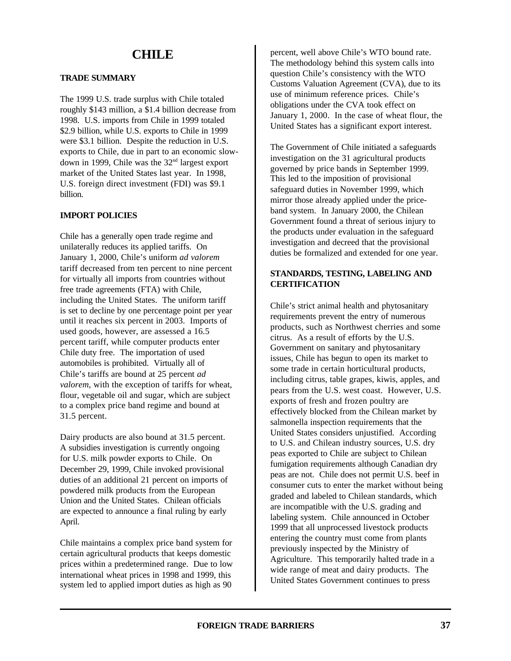# **CHILE**

# **TRADE SUMMARY**

The 1999 U.S. trade surplus with Chile totaled roughly \$143 million, a \$1.4 billion decrease from 1998. U.S. imports from Chile in 1999 totaled \$2.9 billion, while U.S. exports to Chile in 1999 were \$3.1 billion. Despite the reduction in U.S. exports to Chile, due in part to an economic slowdown in 1999, Chile was the 32nd largest export market of the United States last year. In 1998, U.S. foreign direct investment (FDI) was \$9.1 billion.

## **IMPORT POLICIES**

Chile has a generally open trade regime and unilaterally reduces its applied tariffs. On January 1, 2000, Chile's uniform *ad valorem* tariff decreased from ten percent to nine percent for virtually all imports from countries without free trade agreements (FTA) with Chile, including the United States. The uniform tariff is set to decline by one percentage point per year until it reaches six percent in 2003. Imports of used goods, however, are assessed a 16.5 percent tariff, while computer products enter Chile duty free. The importation of used automobiles is prohibited. Virtually all of Chile's tariffs are bound at 25 percent *ad valorem*, with the exception of tariffs for wheat, flour, vegetable oil and sugar, which are subject to a complex price band regime and bound at 31.5 percent.

Dairy products are also bound at 31.5 percent. A subsidies investigation is currently ongoing for U.S. milk powder exports to Chile. On December 29, 1999, Chile invoked provisional duties of an additional 21 percent on imports of powdered milk products from the European Union and the United States. Chilean officials are expected to announce a final ruling by early April.

Chile maintains a complex price band system for certain agricultural products that keeps domestic prices within a predetermined range. Due to low international wheat prices in 1998 and 1999, this system led to applied import duties as high as 90

percent, well above Chile's WTO bound rate. The methodology behind this system calls into question Chile's consistency with the WTO Customs Valuation Agreement (CVA), due to its use of minimum reference prices. Chile's obligations under the CVA took effect on January 1, 2000. In the case of wheat flour, the United States has a significant export interest.

The Government of Chile initiated a safeguards investigation on the 31 agricultural products governed by price bands in September 1999. This led to the imposition of provisional safeguard duties in November 1999, which mirror those already applied under the priceband system. In January 2000, the Chilean Government found a threat of serious injury to the products under evaluation in the safeguard investigation and decreed that the provisional duties be formalized and extended for one year.

# **STANDARDS, TESTING, LABELING AND CERTIFICATION**

Chile's strict animal health and phytosanitary requirements prevent the entry of numerous products, such as Northwest cherries and some citrus. As a result of efforts by the U.S. Government on sanitary and phytosanitary issues, Chile has begun to open its market to some trade in certain horticultural products, including citrus, table grapes, kiwis, apples, and pears from the U.S. west coast. However, U.S. exports of fresh and frozen poultry are effectively blocked from the Chilean market by salmonella inspection requirements that the United States considers unjustified. According to U.S. and Chilean industry sources, U.S. dry peas exported to Chile are subject to Chilean fumigation requirements although Canadian dry peas are not. Chile does not permit U.S. beef in consumer cuts to enter the market without being graded and labeled to Chilean standards, which are incompatible with the U.S. grading and labeling system. Chile announced in October 1999 that all unprocessed livestock products entering the country must come from plants previously inspected by the Ministry of Agriculture. This temporarily halted trade in a wide range of meat and dairy products. The United States Government continues to press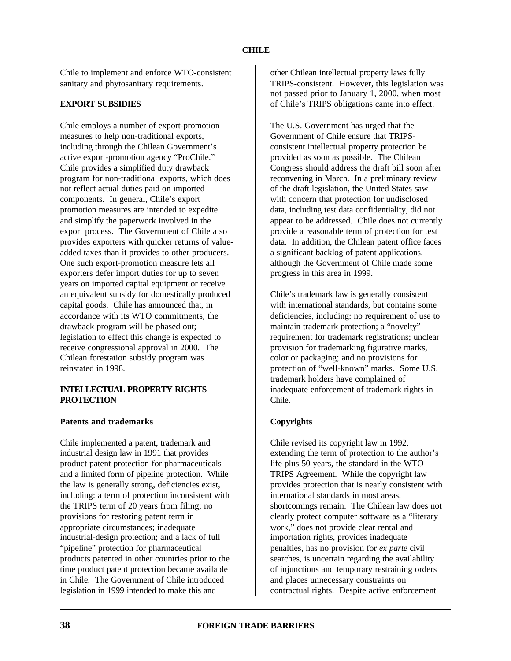Chile to implement and enforce WTO-consistent sanitary and phytosanitary requirements.

## **EXPORT SUBSIDIES**

Chile employs a number of export-promotion measures to help non-traditional exports, including through the Chilean Government's active export-promotion agency "ProChile." Chile provides a simplified duty drawback program for non-traditional exports, which does not reflect actual duties paid on imported components. In general, Chile's export promotion measures are intended to expedite and simplify the paperwork involved in the export process. The Government of Chile also provides exporters with quicker returns of valueadded taxes than it provides to other producers. One such export-promotion measure lets all exporters defer import duties for up to seven years on imported capital equipment or receive an equivalent subsidy for domestically produced capital goods. Chile has announced that, in accordance with its WTO commitments, the drawback program will be phased out; legislation to effect this change is expected to receive congressional approval in 2000. The Chilean forestation subsidy program was reinstated in 1998.

### **INTELLECTUAL PROPERTY RIGHTS PROTECTION**

#### **Patents and trademarks**

Chile implemented a patent, trademark and industrial design law in 1991 that provides product patent protection for pharmaceuticals and a limited form of pipeline protection. While the law is generally strong, deficiencies exist, including: a term of protection inconsistent with the TRIPS term of 20 years from filing; no provisions for restoring patent term in appropriate circumstances; inadequate industrial-design protection; and a lack of full "pipeline" protection for pharmaceutical products patented in other countries prior to the time product patent protection became available in Chile. The Government of Chile introduced legislation in 1999 intended to make this and

other Chilean intellectual property laws fully TRIPS-consistent. However, this legislation was not passed prior to January 1, 2000, when most of Chile's TRIPS obligations came into effect.

The U.S. Government has urged that the Government of Chile ensure that TRIPSconsistent intellectual property protection be provided as soon as possible. The Chilean Congress should address the draft bill soon after reconvening in March. In a preliminary review of the draft legislation, the United States saw with concern that protection for undisclosed data, including test data confidentiality, did not appear to be addressed. Chile does not currently provide a reasonable term of protection for test data. In addition, the Chilean patent office faces a significant backlog of patent applications, although the Government of Chile made some progress in this area in 1999.

Chile's trademark law is generally consistent with international standards, but contains some deficiencies, including: no requirement of use to maintain trademark protection; a "novelty" requirement for trademark registrations; unclear provision for trademarking figurative marks, color or packaging; and no provisions for protection of "well-known" marks. Some U.S. trademark holders have complained of inadequate enforcement of trademark rights in Chile.

## **Copyrights**

Chile revised its copyright law in 1992, extending the term of protection to the author's life plus 50 years, the standard in the WTO TRIPS Agreement. While the copyright law provides protection that is nearly consistent with international standards in most areas, shortcomings remain. The Chilean law does not clearly protect computer software as a "literary work," does not provide clear rental and importation rights, provides inadequate penalties, has no provision for *ex parte* civil searches, is uncertain regarding the availability of injunctions and temporary restraining orders and places unnecessary constraints on contractual rights. Despite active enforcement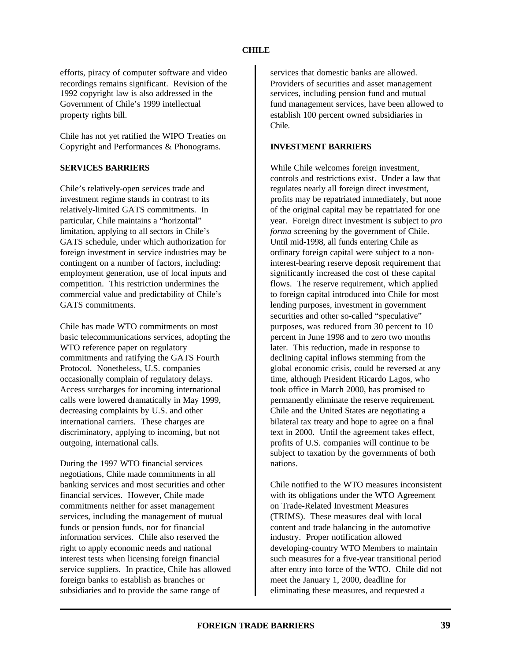## **CHILE**

efforts, piracy of computer software and video recordings remains significant. Revision of the 1992 copyright law is also addressed in the Government of Chile's 1999 intellectual property rights bill.

Chile has not yet ratified the WIPO Treaties on Copyright and Performances & Phonograms.

## **SERVICES BARRIERS**

Chile's relatively-open services trade and investment regime stands in contrast to its relatively-limited GATS commitments. In particular, Chile maintains a "horizontal" limitation, applying to all sectors in Chile's GATS schedule, under which authorization for foreign investment in service industries may be contingent on a number of factors, including: employment generation, use of local inputs and competition. This restriction undermines the commercial value and predictability of Chile's GATS commitments.

Chile has made WTO commitments on most basic telecommunications services, adopting the WTO reference paper on regulatory commitments and ratifying the GATS Fourth Protocol. Nonetheless, U.S. companies occasionally complain of regulatory delays. Access surcharges for incoming international calls were lowered dramatically in May 1999, decreasing complaints by U.S. and other international carriers. These charges are discriminatory, applying to incoming, but not outgoing, international calls.

During the 1997 WTO financial services negotiations, Chile made commitments in all banking services and most securities and other financial services. However, Chile made commitments neither for asset management services, including the management of mutual funds or pension funds, nor for financial information services. Chile also reserved the right to apply economic needs and national interest tests when licensing foreign financial service suppliers. In practice, Chile has allowed foreign banks to establish as branches or subsidiaries and to provide the same range of

services that domestic banks are allowed. Providers of securities and asset management services, including pension fund and mutual fund management services, have been allowed to establish 100 percent owned subsidiaries in Chile.

## **INVESTMENT BARRIERS**

While Chile welcomes foreign investment, controls and restrictions exist. Under a law that regulates nearly all foreign direct investment, profits may be repatriated immediately, but none of the original capital may be repatriated for one year. Foreign direct investment is subject to *pro forma* screening by the government of Chile. Until mid-1998, all funds entering Chile as ordinary foreign capital were subject to a noninterest-bearing reserve deposit requirement that significantly increased the cost of these capital flows. The reserve requirement, which applied to foreign capital introduced into Chile for most lending purposes, investment in government securities and other so-called "speculative" purposes, was reduced from 30 percent to 10 percent in June 1998 and to zero two months later. This reduction, made in response to declining capital inflows stemming from the global economic crisis, could be reversed at any time, although President Ricardo Lagos, who took office in March 2000, has promised to permanently eliminate the reserve requirement. Chile and the United States are negotiating a bilateral tax treaty and hope to agree on a final text in 2000. Until the agreement takes effect, profits of U.S. companies will continue to be subject to taxation by the governments of both nations.

Chile notified to the WTO measures inconsistent with its obligations under the WTO Agreement on Trade-Related Investment Measures (TRIMS). These measures deal with local content and trade balancing in the automotive industry. Proper notification allowed developing-country WTO Members to maintain such measures for a five-year transitional period after entry into force of the WTO. Chile did not meet the January 1, 2000, deadline for eliminating these measures, and requested a